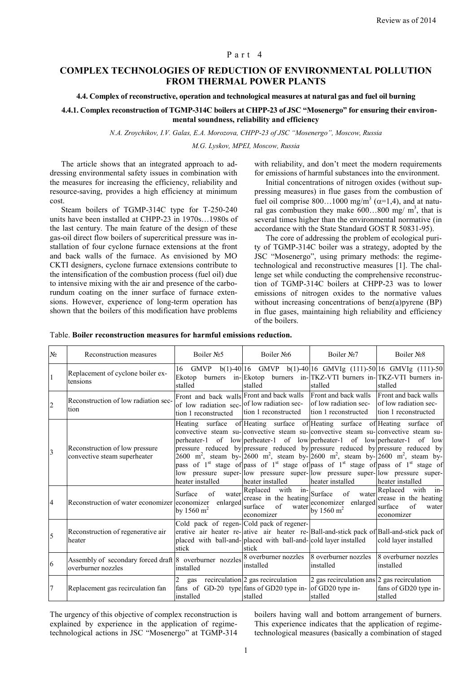## Part 4

# **COMPLEX TECHNOLOGIES OF REDUCTION OF ENVIRONMENTAL POLLUTION FROM THERMAL POWER PLANTS**

#### **4.4. Complex of reconstructive, operation and technological measures at natural gas and fuel oil burning**

**4.4.1. Complex reconstruction of TGMP-314C boilers at CHPP-23 of JSC "Mosenergo" for ensuring their environmental soundness, reliability and efficiency**

*N.A. Zroychikov, I.V. Galas, E.A. Morozova, CHPP*-*23 of JSC "Mosenergo", Moscow, Russia*

*M.G. Lyskov, MPEI, Moscow, Russia*

The article shows that an integrated approach to addressing environmental safety issues in combination with the measures for increasing the efficiency, reliability and resource-saving, provides a high efficiency at minimum cost.

Steam boilers of TGMP-314C type for T-250-240 units have been installed at CHPP-23 in 1970s…1980s of the last century. The main feature of the design of these gas-oil direct flow boilers of supercritical pressure was installation of four cyclone furnace extensions at the front and back walls of the furnace. As envisioned by MO CKTI designers, cyclone furnace extensions contribute to the intensification of the combustion process (fuel oil) due to intensive mixing with the air and presence of the carborundum coating on the inner surface of furnace extensions. However, experience of long-term operation has shown that the boilers of this modification have problems

with reliability, and don't meet the modern requirements for emissions of harmful substances into the environment.

Initial concentrations of nitrogen oxides (without suppressing measures) in flue gases from the combustion of fuel oil comprise 800...1000 mg/m<sup>3</sup> ( $\alpha$ =1,4), and at natural gas combustion they make  $600...800$  mg/m<sup>3</sup>, that is several times higher than the environmental normative (in accordance with the State Standard GOST R 50831-95).

The core of addressing the problem of ecological purity of TGMP-314C boiler was a strategy, adopted by the JSC "Mosenergo", using primary methods: the regimetechnological and reconstructive measures [1]. The challenge set while conducting the comprehensive reconstruction of TGMP-314C boilers at CHPP-23 was to lower emissions of nitrogen oxides to the normative values without increasing concentrations of benz(a)pyrene (BP) in flue gases, maintaining high reliability and efficiency of the boilers.

Table. **Boiler reconstruction measures for harmful emissions reduction.**

| N <sub>0</sub> | Reconstruction measures                                                                                                 | Boiler No <sub>5</sub>                                                                                                                                                                                                                                                                                                                                                                                                                                     | Boiler No <sub>26</sub>                                                                     | Boiler No7                                                                                                                                                                                                                                                             | Boiler No <sub>2</sub>                                                                           |
|----------------|-------------------------------------------------------------------------------------------------------------------------|------------------------------------------------------------------------------------------------------------------------------------------------------------------------------------------------------------------------------------------------------------------------------------------------------------------------------------------------------------------------------------------------------------------------------------------------------------|---------------------------------------------------------------------------------------------|------------------------------------------------------------------------------------------------------------------------------------------------------------------------------------------------------------------------------------------------------------------------|--------------------------------------------------------------------------------------------------|
|                | Replacement of cyclone boiler ex-<br>tensions                                                                           | Ekotop<br>stalled                                                                                                                                                                                                                                                                                                                                                                                                                                          | stalled                                                                                     | 16 GMVP b(1)-40 16 GMVP b(1)-40 16 GMVIg (111)-50 16 GMVIg (111)-50<br>burners in-Ekotop burners in-TKZ-VTI burners in-TKZ-VTI burners in-<br>stalled                                                                                                                  | stalled                                                                                          |
| $\overline{2}$ | Reconstruction of low radiation sec-<br>tion                                                                            | Front and back walls Front and back walls<br>of low radiation sec- of low radiation sec-<br>tion 1 reconstructed                                                                                                                                                                                                                                                                                                                                           | tion 1 reconstructed                                                                        | Front and back walls<br>of low radiation sec-<br>tion 1 reconstructed                                                                                                                                                                                                  | Front and back walls<br>of low radiation sec-<br>tion 1 reconstructed                            |
| $\overline{3}$ | Reconstruction of low pressure<br>convective steam superheater                                                          | perheater-1 of low perheater-1 of low perheater-1 of low perheater-1 of low<br>pressure reduced by pressure reduced by pressure reduced by pressure reduced by<br>2600 m <sup>2</sup> , steam by- $\left[2600 \text{ m}^2, \text{ steam by-}\right]$ 2600 m <sup>2</sup> , steam by- $\left[2600 \text{ m}^2, \text{ steam by-}\right]$<br>pass of $1st$ stage of pass of $1st$ stage of pass of $1st$ stage of pass of $1st$ stage of<br>heater installed | heater installed                                                                            | Heating surface of Heating surface of Heating surface of Heating surface of<br>convective steam su-convective steam su-convective steam su-convective steam su-<br>low pressure super-llow pressure super-llow pressure super-llow pressure super-<br>heater installed | heater installed                                                                                 |
| 4              | Reconstruction of water economizer economizer                                                                           | of<br>Surface<br>water<br>by 1560 m <sup>2</sup>                                                                                                                                                                                                                                                                                                                                                                                                           | Replaced with in-<br>enlarged crease in the heating<br>of<br>surface<br>water<br>economizer | Surface<br>of<br>water<br>economizer enlarged<br>by 1560 $m^2$                                                                                                                                                                                                         | $in$ -<br>Replaced with<br>crease in the heating<br>$\sigma$ f<br>surface<br>water<br>economizer |
| 5              | Reconstruction of regenerative air<br>heater                                                                            | Cold pack of regen-Cold pack of regener-<br>erative air heater re-aative air heater re-Ball-and-stick pack of Ball-and-stick pack of<br>placed with ball-and-placed with ball-and-cold layer installed<br>stick                                                                                                                                                                                                                                            | stick                                                                                       |                                                                                                                                                                                                                                                                        | cold layer installed                                                                             |
| 6              | Assembly of secondary forced draft 8 overburner nozzles 8 overburner nozzles 8 overburner nozzles<br>overburner nozzles | installed                                                                                                                                                                                                                                                                                                                                                                                                                                                  | installed                                                                                   | installed                                                                                                                                                                                                                                                              | 8 overburner nozzles<br>installed                                                                |
| $\overline{7}$ | Replacement gas recirculation fan                                                                                       | $\overline{2}$<br>gas<br>fans of GD-20 type $\frac{1}{2}$ fans of GD20 type in- $\frac{1}{2}$ of GD20 type in-<br>installed                                                                                                                                                                                                                                                                                                                                | recirculation 2 gas recirculation<br>stalled                                                | 2 gas recirculation ans $ 2$ gas recirculation<br>stalled                                                                                                                                                                                                              | fans of GD20 type in-<br>stalled                                                                 |

The urgency of this objective of complex reconstruction is explained by experience in the application of regimetechnological actions in JSC "Mosenergo" at TGMP-314 boilers having wall and bottom arrangement of burners. This experience indicates that the application of regimetechnological measures (basically a combination of staged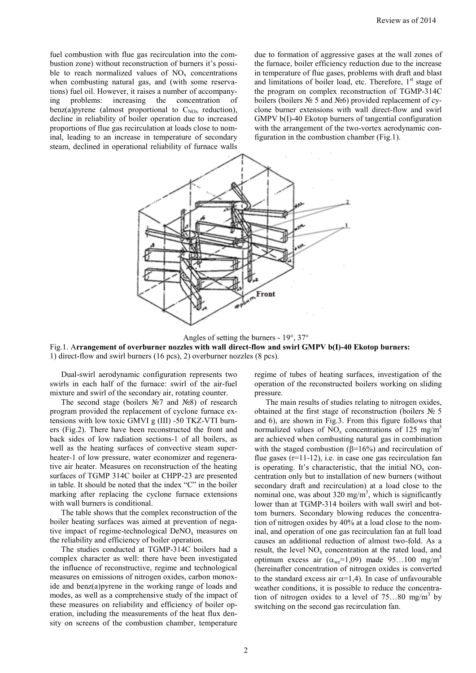fuel combustion with flue gas recirculation into the combustion zone) without reconstruction of burners it's possible to reach normalized values of  $NO<sub>x</sub>$  concentrations when combusting natural gas, and (with some reservations) fuel oil. However, it raises a number of accompanying problems: increasing the concentration of benz(a)pyrene (almost proportional to  $C_{N(x)}$  reduction), decline in reliability of boiler operation due to increased proportions of flue gas recirculation at loads close to nominal, leading to an increase in temperature of secondary steam, declined in operational reliability of furnace walls due to formation of aggressive gases at the wall zones of the furnace, boiler efficiency reduction due to the increase in temperature of flue gases, problems with draft and blast and limitations of boiler load, etc. Therefore, 1<sup>st</sup> stage of the program on complex reconstruction of TGMP-314C boilers (boilers № 5 and №6) provided replacement of cyclone burner extensions with wall direct-flow and swirl GMPV b(I)-40 Ekotop burners of tangential configuration with the arrangement of the two-vortex aerodynamic configuration in the combustion chamber (Fig.1).



Angles of setting the burners - 19°, 37°

Fig.1. A**rrangement of overburner nozzles with wall direct-flow and swirl GMPV b(I)-40 Ekotop burners:** 1) direct-flow and swirl burners (16 pcs), 2) overburner nozzles (8 pcs).

Dual-swirl aerodynamic configuration represents two swirls in each half of the furnace: swirl of the air-fuel mixture and swirl of the secondary air, rotating counter.

The second stage (boilers №7 and №8) of research program provided the replacement of cyclone furnace extensions with low toxic GMVI g (III) -50 TKZ-VTI burners (Fig.2). There have been reconstructed the front and back sides of low radiation sections-1 of all boilers, as well as the heating surfaces of convective steam superheater-1 of low pressure, water economizer and regenerative air heater. Measures on reconstruction of the heating surfaces of TGMP 314C boiler at CHPP-23 are presented in table. It should be noted that the index "C" in the boiler marking after replacing the cyclone furnace extensions with wall burners is conditional.

The table shows that the complex reconstruction of the boiler heating surfaces was aimed at prevention of negative impact of regime-technological  $DeNO<sub>x</sub>$  measures on the reliability and efficiency of boiler operation.

The studies conducted at TGMP-314C boilers had a complex character as well: there have been investigated the influence of reconstructive, regime and technological measures on emissions of nitrogen oxides, carbon monoxide and benz(a)pyrene in the working range of loads and modes, as well as a comprehensive study of the impact of these measures on reliability and efficiency of boiler operation, including the measurements of the heat flux density on screens of the combustion chamber, temperature regime of tubes of heating surfaces, investigation of the operation of the reconstructed boilers working on sliding pressure.

The main results of studies relating to nitrogen oxides, obtained at the first stage of reconstruction (boilers № 5 and 6), are shown in Fig.3. From this figure follows that normalized values of  $NO<sub>x</sub>$  concentrations of 125 mg/m<sup>3</sup> are achieved when combusting natural gas in combination with the staged combustion ( $\beta$ =16%) and recirculation of flue gases (r=11-12), i.e. in case one gas recirculation fan is operating. It's characteristic, that the initial  $NO<sub>x</sub>$  concentration only but to installation of new burners (without secondary draft and recirculation) at a load close to the nominal one, was about  $320 \text{ mg/m}^3$ , which is significantly lower than at TGMP-314 boilers with wall swirl and bottom burners. Secondary blowing reduces the concentration of nitrogen oxides by 40% at a load close to the nominal, and operation of one gas recirculation fan at full load causes an additional reduction of almost two-fold. As a result, the level  $NO<sub>x</sub>$  concentration at the rated load, and optimum excess air  $(\alpha_{\text{we}}=1,09)$  made 95...100 mg/m<sup>3</sup> (hereinafter concentration of nitrogen oxides is converted to the standard excess air  $\alpha=1,4$ ). In case of unfavourable weather conditions, it is possible to reduce the concentration of nitrogen oxides to a level of  $75...80$  mg/m<sup>3</sup> by switching on the second gas recirculation fan.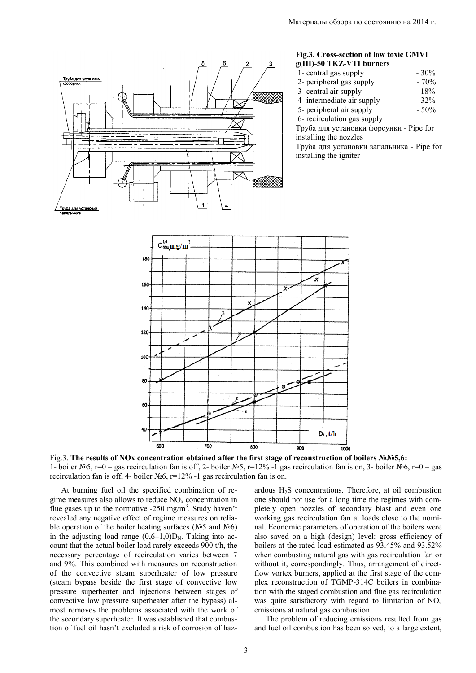

## **Fig.3. Cross-section of low toxic GMVI g(III)-50 TKZ-VTI burners**

| 1- central gas supply       | $-30%$  |
|-----------------------------|---------|
| 2- peripheral gas supply    | $-70%$  |
| 3- central air supply       | $-18%$  |
| 4- intermediate air supply  | $-32%$  |
| 5- peripheral air supply    | $-50\%$ |
| 6- recirculation gas supply |         |

Труба для установки форсунки - Pipe for installing the nozzles

Труба для установки запальника - Pipe for installing the igniter



Fig.3. **The results of NOx concentration obtained after the first stage of reconstruction of boilers №№5,6:** 1- boiler №5, r=0 – gas recirculation fan is off, 2- boiler №5, r=12% -1 gas recirculation fan is on, 3- boiler №6, r=0 – gas recirculation fan is off, 4- boiler №6, r=12% -1 gas recirculation fan is on.

At burning fuel oil the specified combination of regime measures also allows to reduce  $NO<sub>x</sub>$  concentration in flue gases up to the normative  $-250$  mg/m<sup>3</sup>. Study haven't revealed any negative effect of regime measures on reliable operation of the boiler heating surfaces (№5 and №6) in the adjusting load range  $(0.6-1.0)D_N$ . Taking into account that the actual boiler load rarely exceeds 900 t/h, the necessary percentage of recirculation varies between 7 and 9%. This combined with measures on reconstruction of the convective steam superheater of low pressure (steam bypass beside the first stage of convective low pressure superheater and injections between stages of convective low pressure superheater after the bypass) almost removes the problems associated with the work of the secondary superheater. It was established that combustion of fuel oil hasn't excluded a risk of corrosion of hazardous  $H_2S$  concentrations. Therefore, at oil combustion one should not use for a long time the regimes with completely open nozzles of secondary blast and even one working gas recirculation fan at loads close to the nominal. Economic parameters of operation of the boilers were also saved on a high (design) level: gross efficiency of boilers at the rated load estimated as 93.45% and 93.52% when combusting natural gas with gas recirculation fan or without it, correspondingly. Thus, arrangement of directflow vortex burners, applied at the first stage of the complex reconstruction of TGMP-314C boilers in combination with the staged combustion and flue gas recirculation was quite satisfactory with regard to limitation of  $NO<sub>x</sub>$ emissions at natural gas combustion.

The problem of reducing emissions resulted from gas and fuel oil combustion has been solved, to a large extent,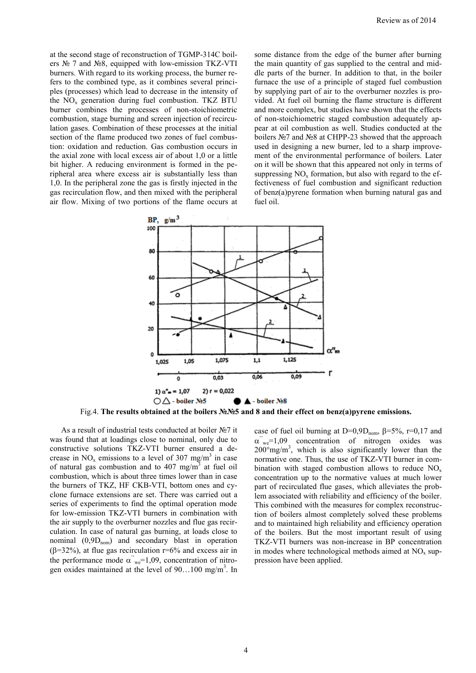at the second stage of reconstruction of TGMP-314C boilers № 7 and №8, equipped with low-emission TKZ-VTI burners. With regard to its working process, the burner refers to the combined type, as it combines several principles (processes) which lead to decrease in the intensity of the  $NO<sub>x</sub>$  generation during fuel combustion. TKZ BTU burner combines the processes of non-stoichiometric combustion, stage burning and screen injection of recirculation gases. Combination of these processes at the initial section of the flame produced two zones of fuel combustion: oxidation and reduction. Gas combustion occurs in the axial zone with local excess air of about 1,0 or a little bit higher. A reducing environment is formed in the peripheral area where excess air is substantially less than 1,0. In the peripheral zone the gas is firstly injected in the gas recirculation flow, and then mixed with the peripheral air flow. Mixing of two portions of the flame occurs at some distance from the edge of the burner after burning the main quantity of gas supplied to the central and middle parts of the burner. In addition to that, in the boiler furnace the use of a principle of staged fuel combustion by supplying part of air to the overburner nozzles is provided. At fuel oil burning the flame structure is different and more complex, but studies have shown that the effects of non-stoichiometric staged combustion adequately appear at oil combustion as well. Studies conducted at the boilers №7 and №8 at CHPP-23 showed that the approach used in designing a new burner, led to a sharp improvement of the environmental performance of boilers. Later on it will be shown that this appeared not only in terms of suppressing  $NO<sub>x</sub>$  formation, but also with regard to the effectiveness of fuel combustion and significant reduction of benz(a)pyrene formation when burning natural gas and fuel oil.



Fig.4. **The results obtained at the boilers №№5 and 8 and their effect on benz(a)pyrene emissions.**

As a result of industrial tests conducted at boiler №7 it was found that at loadings close to nominal, only due to constructive solutions TKZ-VTI burner ensured a decrease in  $NO_x$  emissions to a level of 307 mg/m<sup>3</sup> in case of natural gas combustion and to 407 mg/m<sup>3</sup> at fuel oil combustion, which is about three times lower than in case the burners of TKZ, HF CKB-VTI, bottom ones and cyclone furnace extensions are set. There was carried out a series of experiments to find the optimal operation mode for low-emission TKZ-VTI burners in combination with the air supply to the overburner nozzles and flue gas recirculation. In case of natural gas burning, at loads close to nominal  $(0,9D_{nom})$  and secondary blast in operation ( $\beta$ =32%), at flue gas recirculation r=6% and excess air in the performance mode  $\alpha$ <sup>"</sup><sub>we</sub>=1,09, concentration of nitrogen oxides maintained at the level of 90...100 mg/m<sup>3</sup>. In case of fuel oil burning at D=0,9D<sub>nom</sub>,  $\beta$ =5%, r=0,17 and  $\alpha$ <sup>"</sup>" we<sup>=1,09</sup> concentration of nitrogen oxides was  $200^{\circ}$ mg/m<sup>3</sup>, which is also significantly lower than the normative one. Thus, the use of TKZ-VTI burner in combination with staged combustion allows to reduce  $NO<sub>x</sub>$ concentration up to the normative values at much lower part of recirculated flue gases, which alleviates the problem associated with reliability and efficiency of the boiler. This combined with the measures for complex reconstruction of boilers almost completely solved these problems and to maintained high reliability and efficiency operation of the boilers. But the most important result of using TKZ-VTI burners was non-increase in BP concentration in modes where technological methods aimed at  $NO<sub>x</sub>$  suppression have been applied.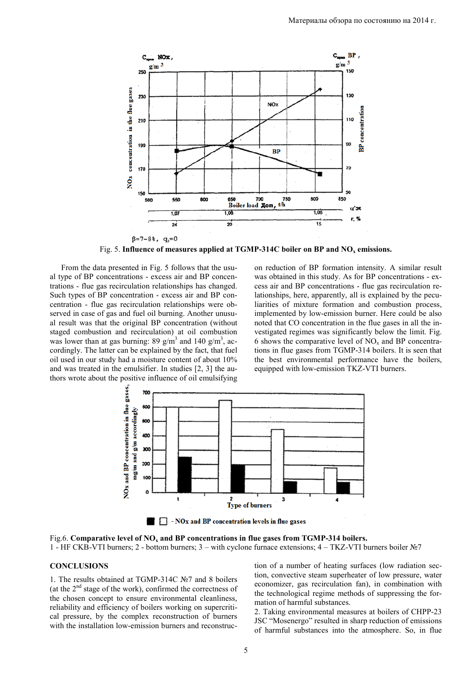

Fig. 5. **Influence of measures applied at TGMP-314C boiler on BP and NO<sup>x</sup> emissions.**

From the data presented in Fig. 5 follows that the usual type of BP concentrations - excess air and BP concentrations - flue gas recirculation relationships has changed. Such types of BP concentration - excess air and BP concentration - flue gas recirculation relationships were observed in case of gas and fuel oil burning. Another unusual result was that the original BP concentration (without staged combustion and recirculation) at oil combustion was lower than at gas burning: 89  $g/m<sup>3</sup>$  and 140  $g/m<sup>3</sup>$ , accordingly. The latter can be explained by the fact, that fuel oil used in our study had a moisture content of about 10% and was treated in the emulsifier. In studies [2, 3] the authors wrote about the positive influence of oil emulsifying on reduction of BP formation intensity. A similar result was obtained in this study. As for BP concentrations - excess air and BP concentrations - flue gas recirculation relationships, here, apparently, all is explained by the peculiarities of mixture formation and combustion process, implemented by low-emission burner. Here could be also noted that CO concentration in the flue gases in all the investigated regimes was significantly below the limit. Fig. 6 shows the comparative level of  $NO<sub>x</sub>$  and BP concentrations in flue gases from TGMP-314 boilers. It is seen that the best environmental performance have the boilers, equipped with low-emission TKZ-VTI burners.



Fig.6. **Comparative level of NO<sup>x</sup> and BP concentrations in flue gases from TGMP-314 boilers.** 1 - HF CKB-VTI burners; 2 - bottom burners; 3 – with cyclone furnace extensions; 4 – TKZ-VTI burners boiler №7

#### **CONCLUSIONS**

1. The results obtained at TGMP-314C №7 and 8 boilers (at the  $2<sup>nd</sup>$  stage of the work), confirmed the correctness of the chosen concept to ensure environmental cleanliness, reliability and efficiency of boilers working on supercritical pressure, by the complex reconstruction of burners with the installation low-emission burners and reconstruction of a number of heating surfaces (low radiation section, convective steam superheater of low pressure, water economizer, gas recirculation fan), in combination with the technological regime methods of suppressing the formation of harmful substances.

2. Taking environmental measures at boilers of CHPP-23 JSC "Mosenergo" resulted in sharp reduction of emissions of harmful substances into the atmosphere. So, in flue